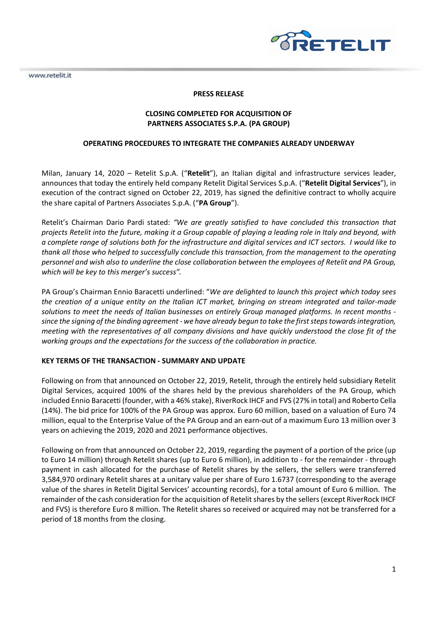www.retelit.it



## **PRESS RELEASE**

# **CLOSING COMPLETED FOR ACQUISITION OF PARTNERS ASSOCIATES S.P.A. (PA GROUP)**

### **OPERATING PROCEDURES TO INTEGRATE THE COMPANIES ALREADY UNDERWAY**

Milan, January 14, 2020 – Retelit S.p.A. ("**Retelit**"), an Italian digital and infrastructure services leader, announces that today the entirely held company Retelit Digital Services S.p.A. ("**Retelit Digital Services**"), in execution of the contract signed on October 22, 2019, has signed the definitive contract to wholly acquire the share capital of Partners Associates S.p.A. ("**PA Group**").

Retelit's Chairman Dario Pardi stated: *"We are greatly satisfied to have concluded this transaction that projects Retelit into the future, making it a Group capable of playing a leading role in Italy and beyond, with a complete range of solutions both for the infrastructure and digital services and ICT sectors. I would like to thank all those who helped to successfully conclude this transaction, from the management to the operating personnel and wish also to underline the close collaboration between the employees of Retelit and PA Group, which will be key to this merger's success".* 

PA Group's Chairman Ennio Baracetti underlined: "*We are delighted to launch this project which today sees the creation of a unique entity on the Italian ICT market, bringing on stream integrated and tailor-made solutions to meet the needs of Italian businesses on entirely Group managed platforms. In recent months since the signing of the binding agreement - we have already begun to take the first steps towards integration, meeting with the representatives of all company divisions and have quickly understood the close fit of the working groups and the expectations for the success of the collaboration in practice.* 

### **KEY TERMS OF THE TRANSACTION - SUMMARY AND UPDATE**

Following on from that announced on October 22, 2019, Retelit, through the entirely held subsidiary Retelit Digital Services, acquired 100% of the shares held by the previous shareholders of the PA Group, which included Ennio Baracetti (founder, with a 46% stake), RiverRock IHCF and FVS (27% in total) and Roberto Cella (14%). The bid price for 100% of the PA Group was approx. Euro 60 million, based on a valuation of Euro 74 million, equal to the Enterprise Value of the PA Group and an earn-out of a maximum Euro 13 million over 3 years on achieving the 2019, 2020 and 2021 performance objectives.

Following on from that announced on October 22, 2019, regarding the payment of a portion of the price (up to Euro 14 million) through Retelit shares (up to Euro 6 million), in addition to - for the remainder - through payment in cash allocated for the purchase of Retelit shares by the sellers, the sellers were transferred 3,584,970 ordinary Retelit shares at a unitary value per share of Euro 1.6737 (corresponding to the average value of the shares in Retelit Digital Services' accounting records), for a total amount of Euro 6 million. The remainder of the cash consideration for the acquisition of Retelit shares by the sellers (except RiverRock IHCF and FVS) is therefore Euro 8 million. The Retelit shares so received or acquired may not be transferred for a period of 18 months from the closing.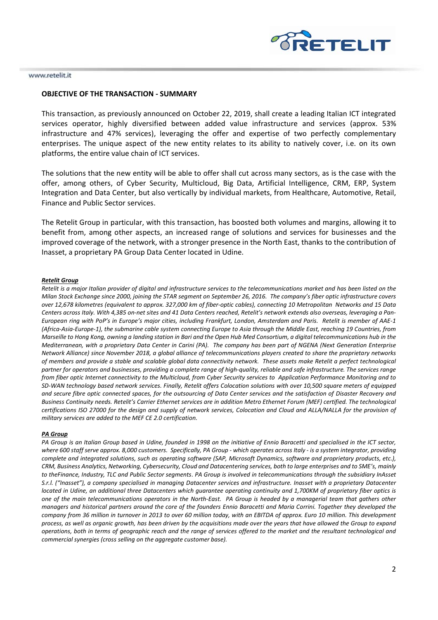

#### www.retelit.it

### **OBJECTIVE OF THE TRANSACTION - SUMMARY**

This transaction, as previously announced on October 22, 2019, shall create a leading Italian ICT integrated services operator, highly diversified between added value infrastructure and services (approx. 53% infrastructure and 47% services), leveraging the offer and expertise of two perfectly complementary enterprises. The unique aspect of the new entity relates to its ability to natively cover, i.e. on its own platforms, the entire value chain of ICT services.

The solutions that the new entity will be able to offer shall cut across many sectors, as is the case with the offer, among others, of Cyber Security, Multicloud, Big Data, Artificial Intelligence, CRM, ERP, System Integration and Data Center, but also vertically by individual markets, from Healthcare, Automotive, Retail, Finance and Public Sector services.

The Retelit Group in particular, with this transaction, has boosted both volumes and margins, allowing it to benefit from, among other aspects, an increased range of solutions and services for businesses and the improved coverage of the network, with a stronger presence in the North East, thanks to the contribution of Inasset, a proprietary PA Group Data Center located in Udine.

#### *Retelit Group*

*Retelit is a major Italian provider of digital and infrastructure services to the telecommunications market and has been listed on the Milan Stock Exchange since 2000, joining the STAR segment on September 26, 2016. The company's fiber optic infrastructure covers over 12,678 kilometres (equivalent to approx. 327,000 km of fiber-optic cables), connecting 10 Metropolitan Networks and 15 Data Centers across Italy. With 4,385 on-net sites and 41 Data Centers reached, Retelit's network extends also overseas, leveraging a Pan-European ring with PoP's in Europe's major cities, including Frankfurt, London, Amsterdam and Paris. Retelit is member of AAE-1 (Africa-Asia-Europe-1), the submarine cable system connecting Europe to Asia through the Middle East, reaching 19 Countries, from Marseille to Hong Kong, owning a landing station in Bari and the Open Hub Med Consortium, a digital telecommunications hub in the Mediterranean, with a proprietary Data Center in Carini (PA). The company has been part of NGENA (Next Generation Enterprise Network Alliance) since November 2018, a global alliance of telecommunications players created to share the proprietary networks of members and provide a stable and scalable global data connectivity network. These assets make Retelit a perfect technological partner for operators and businesses, providing a complete range of high-quality, reliable and safe infrastructure. The services range from fiber optic Internet connectivity to the Multicloud, from Cyber Security services to Application Performance Monitoring and to SD-WAN technology based network services. Finally, Retelit offers Colocation solutions with over 10,500 square meters of equipped and secure fibre optic connected spaces, for the outsourcing of Data Center services and the satisfaction of Disaster Recovery and Business Continuity needs. Retelit's Carrier Ethernet services are in addition Metro Ethernet Forum (MEF) certified. The technological certifications ISO 27000 for the design and supply of network services, Colocation and Cloud and ALLA/NALLA for the provision of military services are added to the MEF CE 2.0 certification.* 

#### *PA Group*

*PA Group is an Italian Group based in Udine, founded in 1998 on the initiative of Ennio Baracetti and specialised in the ICT sector, where 600 staff serve approx. 8,000 customers. Specifically, PA Group - which operates across Italy - is a system integrator, providing complete and integrated solutions, such as operating software (SAP, Microsoft Dynamics, software and proprietary products, etc.), CRM, Business Analytics, Networking, Cybersecurity, Cloud and Datacentering services, both to large enterprises and to SME's, mainly to theFinance, Industry, TLC and Public Sector segments. PA Group is involved in telecommunications through the subsidiary InAsset S.r.l. ("Inasset"), a company specialised in managing Datacenter services and infrastructure. Inasset with a proprietary Datacenter located in Udine, an additional three Datacenters which guarantee operating continuity and 1,700KM of proprietary fiber optics is one of the main telecommunications operators in the North-East. PA Group is headed by a managerial team that gathers other managers and historical partners around the core of the founders Ennio Baracetti and Maria Corrini. Together they developed the company from 36 million in turnover in 2013 to over 60 million today, with an EBITDA of approx. Euro 10 million. This development process, as well as organic growth, has been driven by the acquisitions made over the years that have allowed the Group to expand operations, both in terms of geographic reach and the range of services offered to the market and the resultant technological and commercial synergies (cross selling on the aggregate customer base).*